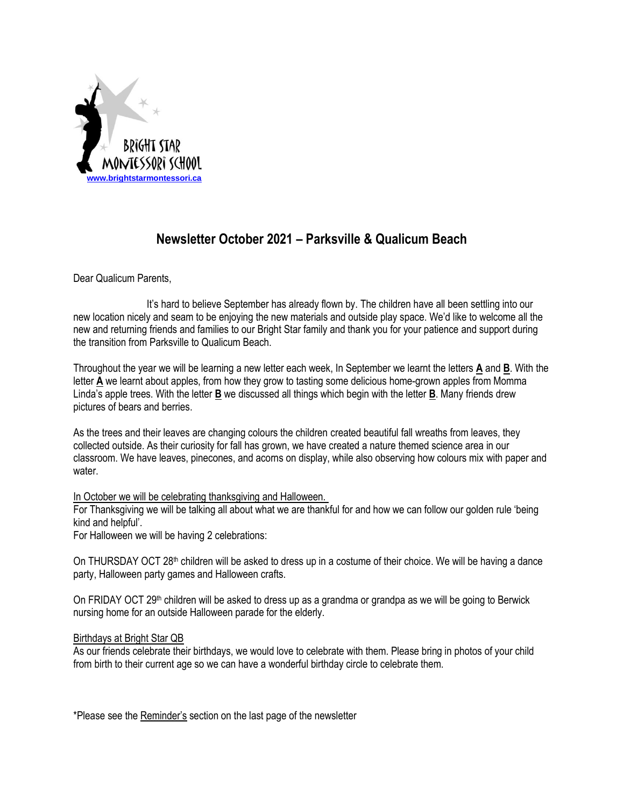

# **Newsletter October 2021 – Parksville & Qualicum Beach**

Dear Qualicum Parents,

It's hard to believe September has already flown by. The children have all been settling into our new location nicely and seam to be enjoying the new materials and outside play space. We'd like to welcome all the new and returning friends and families to our Bright Star family and thank you for your patience and support during the transition from Parksville to Qualicum Beach.

Throughout the year we will be learning a new letter each week, In September we learnt the letters **A** and **B**. With the letter **A** we learnt about apples, from how they grow to tasting some delicious home-grown apples from Momma Linda's apple trees. With the letter **B** we discussed all things which begin with the letter **B**. Many friends drew pictures of bears and berries.

As the trees and their leaves are changing colours the children created beautiful fall wreaths from leaves, they collected outside. As their curiosity for fall has grown, we have created a nature themed science area in our classroom. We have leaves, pinecones, and acorns on display, while also observing how colours mix with paper and water.

# In October we will be celebrating thanksgiving and Halloween.

For Thanksgiving we will be talking all about what we are thankful for and how we can follow our golden rule 'being kind and helpful'.

For Halloween we will be having 2 celebrations:

On THURSDAY OCT  $28<sup>th</sup>$  children will be asked to dress up in a costume of their choice. We will be having a dance party, Halloween party games and Halloween crafts.

On FRIDAY OCT 29<sup>th</sup> children will be asked to dress up as a grandma or grandpa as we will be going to Berwick nursing home for an outside Halloween parade for the elderly.

# Birthdays at Bright Star QB

As our friends celebrate their birthdays, we would love to celebrate with them. Please bring in photos of your child from birth to their current age so we can have a wonderful birthday circle to celebrate them.

\*Please see the Reminder's section on the last page of the newsletter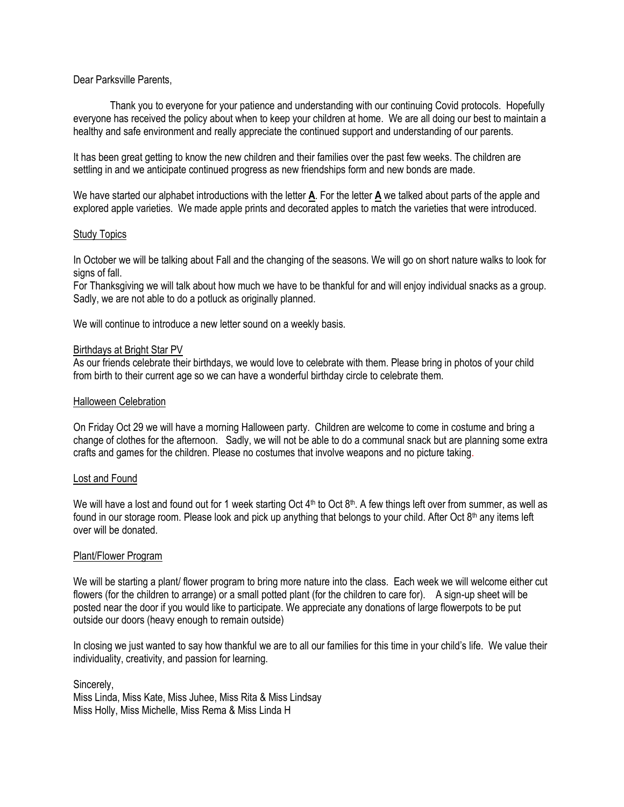# Dear Parksville Parents,

Thank you to everyone for your patience and understanding with our continuing Covid protocols. Hopefully everyone has received the policy about when to keep your children at home. We are all doing our best to maintain a healthy and safe environment and really appreciate the continued support and understanding of our parents.

It has been great getting to know the new children and their families over the past few weeks. The children are settling in and we anticipate continued progress as new friendships form and new bonds are made.

We have started our alphabet introductions with the letter **A**. For the letter **A** we talked about parts of the apple and explored apple varieties. We made apple prints and decorated apples to match the varieties that were introduced.

# Study Topics

In October we will be talking about Fall and the changing of the seasons. We will go on short nature walks to look for signs of fall.

For Thanksgiving we will talk about how much we have to be thankful for and will enjoy individual snacks as a group. Sadly, we are not able to do a potluck as originally planned.

We will continue to introduce a new letter sound on a weekly basis.

#### Birthdays at Bright Star PV

As our friends celebrate their birthdays, we would love to celebrate with them. Please bring in photos of your child from birth to their current age so we can have a wonderful birthday circle to celebrate them.

#### Halloween Celebration

On Friday Oct 29 we will have a morning Halloween party. Children are welcome to come in costume and bring a change of clothes for the afternoon. Sadly, we will not be able to do a communal snack but are planning some extra crafts and games for the children. Please no costumes that involve weapons and no picture taking.

# Lost and Found

We will have a lost and found out for 1 week starting Oct 4<sup>th</sup> to Oct 8<sup>th</sup>. A few things left over from summer, as well as found in our storage room. Please look and pick up anything that belongs to your child. After Oct  $8<sup>th</sup>$  any items left over will be donated.

# Plant/Flower Program

We will be starting a plant/ flower program to bring more nature into the class. Each week we will welcome either cut flowers (for the children to arrange) or a small potted plant (for the children to care for). A sign-up sheet will be posted near the door if you would like to participate. We appreciate any donations of large flowerpots to be put outside our doors (heavy enough to remain outside)

In closing we just wanted to say how thankful we are to all our families for this time in your child's life. We value their individuality, creativity, and passion for learning.

Sincerely, Miss Linda, Miss Kate, Miss Juhee, Miss Rita & Miss Lindsay Miss Holly, Miss Michelle, Miss Rema & Miss Linda H